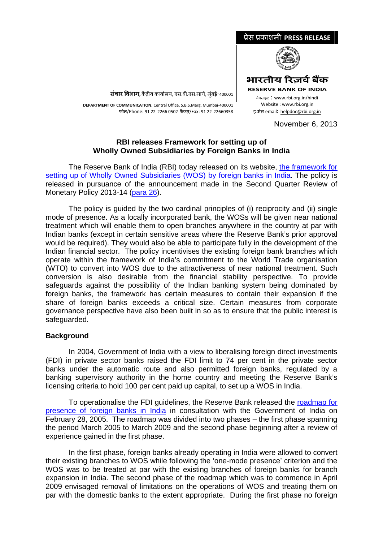

**संचार विभाग,** केंद्रीय कार्यालय, एस.बी.एस.मार्ग, मुंबई-400001

\_\_\_\_\_\_\_\_\_\_\_\_\_\_\_\_\_\_\_\_\_\_\_\_\_\_\_\_\_\_\_\_\_\_\_\_\_\_\_\_\_\_\_\_\_\_\_\_\_\_\_\_\_\_\_\_\_\_\_\_\_\_\_\_\_\_\_\_\_\_\_\_\_\_\_\_\_\_\_\_\_\_\_\_\_\_\_\_\_\_\_\_\_\_\_\_\_\_\_\_\_\_\_\_\_\_\_\_\_\_\_\_\_\_\_\_\_ **DEPARTMENT OF COMMUNICATION**, Central Office, S.B.S.Marg, Mumbai‐400001 फोन/Phone: 91 22 2266 0502 फैÈस/Fax: 91 22 22660358

November 6, 2013

## **RBI releases Framework for setting up of Wholly Owned Subsidiaries by Foreign Banks in India**

The Reserve Bank of India (RBI) today released on its website, [the framework for](http://www.rbi.org.in/Scripts/bs_viewcontent.aspx?Id=2758)  [setting up of Wholly Owned Subsidiaries \(WOS\) by foreign banks in India.](http://www.rbi.org.in/Scripts/bs_viewcontent.aspx?Id=2758) The policy is released in pursuance of the announcement made in the Second Quarter Review of Monetary Policy 2013-14 [\(para 26](http://www.rbi.org.in/scripts/NotificationUser.aspx?Id=8532&Mode=0#p26)).

The policy is guided by the two cardinal principles of (i) reciprocity and (ii) single mode of presence. As a locally incorporated bank, the WOSs will be given near national treatment which will enable them to open branches anywhere in the country at par with Indian banks (except in certain sensitive areas where the Reserve Bank's prior approval would be required). They would also be able to participate fully in the development of the Indian financial sector. The policy incentivises the existing foreign bank branches which operate within the framework of India's commitment to the World Trade organisation (WTO) to convert into WOS due to the attractiveness of near national treatment. Such conversion is also desirable from the financial stability perspective. To provide safeguards against the possibility of the Indian banking system being dominated by foreign banks, the framework has certain measures to contain their expansion if the share of foreign banks exceeds a critical size. Certain measures from corporate governance perspective have also been built in so as to ensure that the public interest is safeguarded.

## **Background**

In 2004, Government of India with a view to liberalising foreign direct investments (FDI) in private sector banks raised the FDI limit to 74 per cent in the private sector banks under the automatic route and also permitted foreign banks, regulated by a banking supervisory authority in the home country and meeting the Reserve Bank's licensing criteria to hold 100 per cent paid up capital, to set up a WOS in India.

To operationalise the FDI guidelines, the Reserve Bank released the [roadmap for](http://www.rbi.org.in/scripts/NotificationUser.aspx?Id=2142&Mode=0)  [presence of foreign banks in India](http://www.rbi.org.in/scripts/NotificationUser.aspx?Id=2142&Mode=0) in consultation with the Government of India on February 28, 2005. The roadmap was divided into two phases – the first phase spanning the period March 2005 to March 2009 and the second phase beginning after a review of experience gained in the first phase.

In the first phase, foreign banks already operating in India were allowed to convert their existing branches to WOS while following the 'one-mode presence' criterion and the WOS was to be treated at par with the existing branches of foreign banks for branch expansion in India. The second phase of the roadmap which was to commence in April 2009 envisaged removal of limitations on the operations of WOS and treating them on par with the domestic banks to the extent appropriate. During the first phase no foreign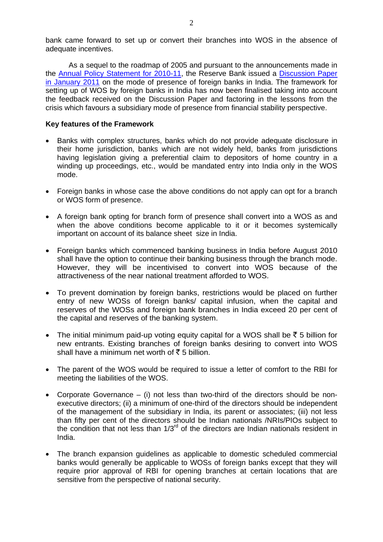bank came forward to set up or convert their branches into WOS in the absence of adequate incentives.

As a sequel to the roadmap of 2005 and pursuant to the announcements made in the [Annual Policy Statement for 2010-11,](http://www.rbi.org.in/scripts/NotificationUser.aspx?Id=5602&Mode=0) the Reserve Bank issued a [Discussion Paper](http://www.rbi.org.in/scripts/BS_PressReleaseDisplay.aspx?prid=23795)  [in January 2011](http://www.rbi.org.in/scripts/BS_PressReleaseDisplay.aspx?prid=23795) on the mode of presence of foreign banks in India. The framework for setting up of WOS by foreign banks in India has now been finalised taking into account the feedback received on the Discussion Paper and factoring in the lessons from the crisis which favours a subsidiary mode of presence from financial stability perspective.

## **Key features of the Framework**

- Banks with complex structures, banks which do not provide adequate disclosure in their home jurisdiction, banks which are not widely held, banks from jurisdictions having legislation giving a preferential claim to depositors of home country in a winding up proceedings, etc., would be mandated entry into India only in the WOS mode.
- Foreign banks in whose case the above conditions do not apply can opt for a branch or WOS form of presence.
- A foreign bank opting for branch form of presence shall convert into a WOS as and when the above conditions become applicable to it or it becomes systemically important on account of its balance sheet size in India.
- Foreign banks which commenced banking business in India before August 2010 shall have the option to continue their banking business through the branch mode. However, they will be incentivised to convert into WOS because of the attractiveness of the near national treatment afforded to WOS.
- To prevent domination by foreign banks, restrictions would be placed on further entry of new WOSs of foreign banks/ capital infusion, when the capital and reserves of the WOSs and foreign bank branches in India exceed 20 per cent of the capital and reserves of the banking system.
- The initial minimum paid-up voting equity capital for a WOS shall be  $\bar{\tau}$  5 billion for new entrants. Existing branches of foreign banks desiring to convert into WOS shall have a minimum net worth of  $\bar{\tau}$  5 billion.
- The parent of the WOS would be required to issue a letter of comfort to the RBI for meeting the liabilities of the WOS.
- Corporate Governance (i) not less than two-third of the directors should be nonexecutive directors; (ii) a minimum of one-third of the directors should be independent of the management of the subsidiary in India, its parent or associates; (iii) not less than fifty per cent of the directors should be Indian nationals /NRIs/PIOs subject to the condition that not less than  $1/3<sup>rd</sup>$  of the directors are Indian nationals resident in India.
- The branch expansion guidelines as applicable to domestic scheduled commercial banks would generally be applicable to WOSs of foreign banks except that they will require prior approval of RBI for opening branches at certain locations that are sensitive from the perspective of national security.